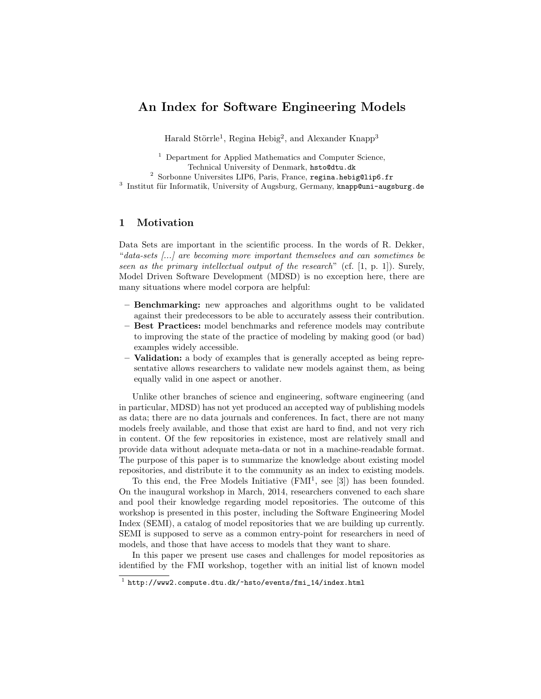# An Index for Software Engineering Models

Harald Störrle<sup>1</sup>, Regina Hebig<sup>2</sup>, and Alexander Knapp<sup>3</sup>

<sup>1</sup> Department for Applied Mathematics and Computer Science, Technical University of Denmark, hsto@dtu.dk

<sup>2</sup> Sorbonne Universites LIP6, Paris, France, regina.hebig@lip6.fr  $3$  Institut für Informatik, University of Augsburg, Germany, knapp@uni-augsburg.de

## 1 Motivation

Data Sets are important in the scientific process. In the words of R. Dekker, "data-sets [...] are becoming more important themselves and can sometimes be seen as the primary intellectual output of the research" (cf. [1, p. 1]). Surely, Model Driven Software Development (MDSD) is no exception here, there are many situations where model corpora are helpful:

- Benchmarking: new approaches and algorithms ought to be validated against their predecessors to be able to accurately assess their contribution.
- Best Practices: model benchmarks and reference models may contribute to improving the state of the practice of modeling by making good (or bad) examples widely accessible.
- Validation: a body of examples that is generally accepted as being representative allows researchers to validate new models against them, as being equally valid in one aspect or another.

Unlike other branches of science and engineering, software engineering (and in particular, MDSD) has not yet produced an accepted way of publishing models as data; there are no data journals and conferences. In fact, there are not many models freely available, and those that exist are hard to find, and not very rich in content. Of the few repositories in existence, most are relatively small and provide data without adequate meta-data or not in a machine-readable format. The purpose of this paper is to summarize the knowledge about existing model repositories, and distribute it to the community as an index to existing models.

To this end, the Free Models Initiative  $(FMI<sup>1</sup>, see [3])$  has been founded. On the inaugural workshop in March, 2014, researchers convened to each share and pool their knowledge regarding model repositories. The outcome of this workshop is presented in this poster, including the Software Engineering Model Index (SEMI), a catalog of model repositories that we are building up currently. SEMI is supposed to serve as a common entry-point for researchers in need of models, and those that have access to models that they want to share.

In this paper we present use cases and challenges for model repositories as identified by the FMI workshop, together with an initial list of known model

 $^1$  http://www2.compute.dtu.dk/~hsto/events/fmi\_14/index.html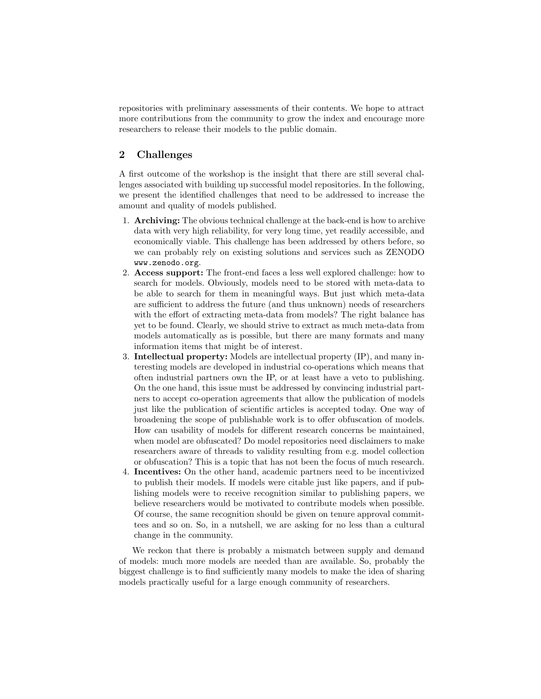repositories with preliminary assessments of their contents. We hope to attract more contributions from the community to grow the index and encourage more researchers to release their models to the public domain.

## 2 Challenges

A first outcome of the workshop is the insight that there are still several challenges associated with building up successful model repositories. In the following, we present the identified challenges that need to be addressed to increase the amount and quality of models published.

- 1. Archiving: The obvious technical challenge at the back-end is how to archive data with very high reliability, for very long time, yet readily accessible, and economically viable. This challenge has been addressed by others before, so we can probably rely on existing solutions and services such as ZENODO www.zenodo.org.
- 2. Access support: The front-end faces a less well explored challenge: how to search for models. Obviously, models need to be stored with meta-data to be able to search for them in meaningful ways. But just which meta-data are sufficient to address the future (and thus unknown) needs of researchers with the effort of extracting meta-data from models? The right balance has yet to be found. Clearly, we should strive to extract as much meta-data from models automatically as is possible, but there are many formats and many information items that might be of interest.
- 3. Intellectual property: Models are intellectual property (IP), and many interesting models are developed in industrial co-operations which means that often industrial partners own the IP, or at least have a veto to publishing. On the one hand, this issue must be addressed by convincing industrial partners to accept co-operation agreements that allow the publication of models just like the publication of scientific articles is accepted today. One way of broadening the scope of publishable work is to offer obfuscation of models. How can usability of models for different research concerns be maintained, when model are obfuscated? Do model repositories need disclaimers to make researchers aware of threads to validity resulting from e.g. model collection or obfuscation? This is a topic that has not been the focus of much research.
- 4. Incentives: On the other hand, academic partners need to be incentivized to publish their models. If models were citable just like papers, and if publishing models were to receive recognition similar to publishing papers, we believe researchers would be motivated to contribute models when possible. Of course, the same recognition should be given on tenure approval committees and so on. So, in a nutshell, we are asking for no less than a cultural change in the community.

We reckon that there is probably a mismatch between supply and demand of models: much more models are needed than are available. So, probably the biggest challenge is to find sufficiently many models to make the idea of sharing models practically useful for a large enough community of researchers.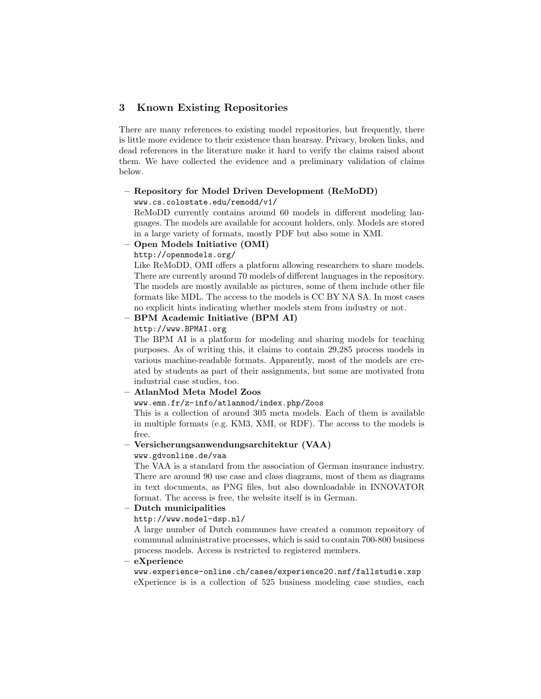## 3 Known Existing Repositories

There are many references to existing model repositories, but frequently, there is little more evidence to their existence than hearsay. Privacy, broken links, and dead references in the literature make it hard to verify the claims raised about them. We have collected the evidence and a preliminary validation of claims below.

#### – Repository for Model Driven Development (ReMoDD) www.cs.colostate.edu/remodd/v1/

ReMoDD currently contains around 60 models in different modeling languages. The models are available for account holders, only. Models are stored in a large variety of formats, mostly PDF but also some in XMI.

#### – Open Models Initiative (OMI)

http://openmodels.org/

Like ReMoDD, OMI offers a platform allowing researchers to share models. There are currently around 70 models of different languages in the repository. The models are mostly available as pictures, some of them include other file formats like MDL. The access to the models is CC BY NA SA. In most cases no explicit hints indicating whether models stem from industry or not.

## – BPM Academic Initiative (BPM AI)

http://www.BPMAI.org

The BPM AI is a platform for modeling and sharing models for teaching purposes. As of writing this, it claims to contain 29,285 process models in various machine-readable formats. Apparently, most of the models are created by students as part of their assignments, but some are motivated from industrial case studies, too.

## – AtlanMod Meta Model Zoos

#### www.emn.fr/z-info/atlanmod/index.php/Zoos

This is a collection of around 305 meta models. Each of them is available in multiple formats (e.g. KM3, XMI, or RDF). The access to the models is free.

#### – Versicherungsanwendungsarchitektur (VAA)

### www.gdvonline.de/vaa

The VAA is a standard from the association of German insurance industry. There are around 90 use case and class diagrams, most of them as diagrams in text documents, as PNG files, but also downloadable in INNOVATOR format. The access is free, the website itself is in German.

## – Dutch municipalities

#### http://www.model-dsp.nl/

A large number of Dutch communes have created a common repository of communal administrative processes, which is said to contain 700-800 business process models. Access is restricted to registered members.

#### – eXperience

www.experience-online.ch/cases/experience20.nsf/fallstudie.xsp eXperience is is a collection of 525 business modeling case studies, each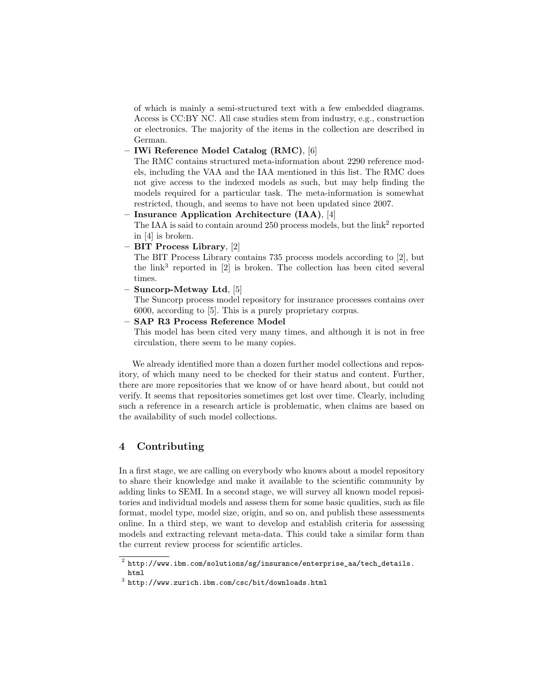of which is mainly a semi-structured text with a few embedded diagrams. Access is CC:BY NC. All case studies stem from industry, e.g., construction or electronics. The majority of the items in the collection are described in German.

– IWi Reference Model Catalog (RMC), [6]

The RMC contains structured meta-information about 2290 reference models, including the VAA and the IAA mentioned in this list. The RMC does not give access to the indexed models as such, but may help finding the models required for a particular task. The meta-information is somewhat restricted, though, and seems to have not been updated since 2007.

Insurance Application Architecture (IAA), [4] The IAA is said to contain around  $250$  process models, but the  $\text{link}^2$  reported

in [4] is broken.

– BIT Process Library, [2]

The BIT Process Library contains 735 process models according to [2], but the  $\text{link}^3$  reported in [2] is broken. The collection has been cited several times.

– Suncorp-Metway Ltd, [5]

The Suncorp process model repository for insurance processes contains over 6000, according to [5]. This is a purely proprietary corpus.

– SAP R3 Process Reference Model

This model has been cited very many times, and although it is not in free circulation, there seem to be many copies.

We already identified more than a dozen further model collections and repository, of which many need to be checked for their status and content. Further, there are more repositories that we know of or have heard about, but could not verify. It seems that repositories sometimes get lost over time. Clearly, including such a reference in a research article is problematic, when claims are based on the availability of such model collections.

## 4 Contributing

In a first stage, we are calling on everybody who knows about a model repository to share their knowledge and make it available to the scientific community by adding links to SEMI. In a second stage, we will survey all known model repositories and individual models and assess them for some basic qualities, such as file format, model type, model size, origin, and so on, and publish these assessments online. In a third step, we want to develop and establish criteria for assessing models and extracting relevant meta-data. This could take a similar form than the current review process for scientific articles.

 $^2$  http://www.ibm.com/solutions/sg/insurance/enterprise\_aa/tech\_details. html

 $^3$  http://www.zurich.ibm.com/csc/bit/downloads.html